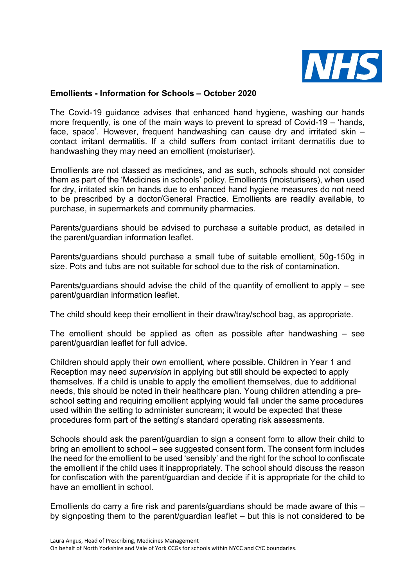

## **Emollients - Information for Schools – October 2020**

The Covid-19 guidance advises that enhanced hand hygiene, washing our hands more frequently, is one of the main ways to prevent to spread of Covid-19 – 'hands, face, space'. However, frequent handwashing can cause dry and irritated skin – contact irritant dermatitis. If a child suffers from contact irritant dermatitis due to handwashing they may need an emollient (moisturiser).

Emollients are not classed as medicines, and as such, schools should not consider them as part of the 'Medicines in schools' policy. Emollients (moisturisers), when used for dry, irritated skin on hands due to enhanced hand hygiene measures do not need to be prescribed by a doctor/General Practice. Emollients are readily available, to purchase, in supermarkets and community pharmacies.

Parents/guardians should be advised to purchase a suitable product, as detailed in the parent/guardian information leaflet.

Parents/guardians should purchase a small tube of suitable emollient, 50g-150g in size. Pots and tubs are not suitable for school due to the risk of contamination.

Parents/guardians should advise the child of the quantity of emollient to apply – see parent/guardian information leaflet.

The child should keep their emollient in their draw/tray/school bag, as appropriate.

The emollient should be applied as often as possible after handwashing – see parent/guardian leaflet for full advice.

Children should apply their own emollient, where possible. Children in Year 1 and Reception may need *supervision* in applying but still should be expected to apply themselves. If a child is unable to apply the emollient themselves, due to additional needs, this should be noted in their healthcare plan. Young children attending a preschool setting and requiring emollient applying would fall under the same procedures used within the setting to administer suncream; it would be expected that these procedures form part of the setting's standard operating risk assessments.

Schools should ask the parent/guardian to sign a consent form to allow their child to bring an emollient to school – see suggested consent form. The consent form includes the need for the emollient to be used 'sensibly' and the right for the school to confiscate the emollient if the child uses it inappropriately. The school should discuss the reason for confiscation with the parent/guardian and decide if it is appropriate for the child to have an emollient in school.

Emollients do carry a fire risk and parents/guardians should be made aware of this – by signposting them to the parent/guardian leaflet – but this is not considered to be